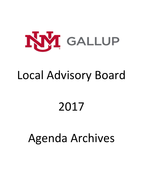

# Local Advisory Board

# 2017

# Agenda Archives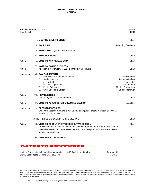| Tuesday, February 21, 2017<br>One O'clock |                                                                                                                                                                                                                                                          | Gallup<br><b>DCR</b>                                                                                         |
|-------------------------------------------|----------------------------------------------------------------------------------------------------------------------------------------------------------------------------------------------------------------------------------------------------------|--------------------------------------------------------------------------------------------------------------|
|                                           | I. MEETING CALL TO ORDER                                                                                                                                                                                                                                 | Chair                                                                                                        |
|                                           | <b>II. ROLL CALL</b>                                                                                                                                                                                                                                     | <b>Recording Secretary</b>                                                                                   |
|                                           | III. PUBLIC INPUT (15 minutes maximum)                                                                                                                                                                                                                   |                                                                                                              |
|                                           | <b>IV. INTRODUCTIONS</b>                                                                                                                                                                                                                                 | Chair                                                                                                        |
| Action                                    | <b>V. VOTE TO APPROVE AGENDA</b>                                                                                                                                                                                                                         | Chair                                                                                                        |
| Action                                    | VI. VOTE ON BOARD BUSINESS<br>Adoption of November 15, 2016 Board Meeting Minutes                                                                                                                                                                        | Chair                                                                                                        |
| Information                               | <b>VII. CAMPUS REPORTS</b><br>Instruction and Academic Affairs<br>А.<br>В.<br><b>Student Services</b><br><b>MCHS</b><br>i.<br><b>Business Operations</b><br>C.<br>D. Public Relations<br>Е.<br><b>Chief Executive Officer</b>                            | Ken Roberts<br>Jayme McMahon<br>Rob Hunter<br><b>Rick Goshorn</b><br>Marilee Petranovich<br>Christopher Dyer |
| Action                                    | <b>VIII. NEW BUSINESS</b><br>Vote on ByLaws Third Amendment                                                                                                                                                                                              | Chair                                                                                                        |
| Action                                    | IX. VOTE TO ADJOURN FOR EXECUTIVE SESSION                                                                                                                                                                                                                | Secretary                                                                                                    |
| Information                               | <b>X. EXECUTIVE SESSION</b><br>Executive Session pursuant to NM Open Meeting Act; Personnel Matter, Section 10-<br>15-1-H.(2) NMSA 1978                                                                                                                  |                                                                                                              |
|                                           | <b>INVITE THE PUBLIC BACK INTO THE MEETING</b>                                                                                                                                                                                                           | Chair                                                                                                        |
| Action                                    | XI. VOTE TO RECONVENE FROM EXECUTIVE SESSION<br>Certification that only those matters described in Agenda Item VIII were discussed in<br>Executive Session and if necessary, final action with regard to those matters will be<br>taken in Open Session. | Chair                                                                                                        |
|                                           | <b>XII. VOTE FOR ADJOURNMENT</b>                                                                                                                                                                                                                         | Chair                                                                                                        |
|                                           | WES TO REMEMBER                                                                                                                                                                                                                                          |                                                                                                              |

Isadora Stowe artist talk and closing reception - UNMG Auditorium 5:30 PM February 22<br>14 March 14 March 14 UNMG Local Board Meeting-DCR 1:00 PM

If you are an individual with a disability who is in need of a reader, amplifier, qualified language interpreter, or any other form of auxiliary aid or service to attend or participate in the meeting, please contact the Executive Director's Office (505-863-7501) as soon as possible. Public documents, including the agenda and minutes, can be provided in various accessible formats. Please contact the Executive Director's Office if a summary or other type of accessible format is needed.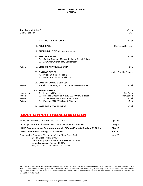| Tuesday, April 4, 2017<br>One O'clock PM  |                                                                                                                                                                                          | Gallup<br><b>DCR</b>                               |
|-------------------------------------------|------------------------------------------------------------------------------------------------------------------------------------------------------------------------------------------|----------------------------------------------------|
|                                           | <b>I. MEETING CALL TO ORDER</b>                                                                                                                                                          | Chair                                              |
|                                           | <b>II. ROLL CALL</b>                                                                                                                                                                     | <b>Recording Secretary</b>                         |
|                                           | III. PUBLIC INPUT (15 minutes maximum)                                                                                                                                                   |                                                    |
|                                           | <b>IV. INTRODUCTIONS</b><br>Cynthia Sanders, Magistrate Judge City of Gallup<br>А.<br>Ara Green, Community Coordinator<br>В.                                                             | Chair                                              |
| Action                                    | <b>V. VOTE TO APPROVE AGENDA</b>                                                                                                                                                         | Chair                                              |
|                                           | VI. OATH OF OFFICE<br>Priscilla Smith, Position 1<br>А.<br>Ralph A. Richards, Position 2<br>В.                                                                                           | Judge Cynthia Sanders                              |
| Action                                    | <b>VII. VOTE ON BOARD BUSINESS</b><br>Adoption of February 21, 2017 Board Meeting Minutes                                                                                                | Chair                                              |
| Information<br>Action<br>Action<br>Action | <b>VIII. NEW BUSINESS</b><br>A. Lions Hall Fundraiser<br>B. Discuss & Vote on FY 2017-2018 UNMG Budget<br>C. Vote on By Laws Fourth Amendment<br>Election 2017-2018 Board Officers<br>D. | Ara Green<br><b>Rick Goshorn</b><br>Chair<br>Chair |
|                                           | IX. VOTE FOR ADJOURNMENT                                                                                                                                                                 | Chair                                              |
| V                                         | NES TO REMEMB<br>ÐD                                                                                                                                                                      |                                                    |

| Hoedown & BBQ Red Rock Park 6:00 to 11:00 PM                                                                                                                                                                          | April 28 |
|-----------------------------------------------------------------------------------------------------------------------------------------------------------------------------------------------------------------------|----------|
| Do or Dye Color Run 5k - Downtown Courthouse Square at 9:00 AM                                                                                                                                                        | May 7    |
| UNMG Commencement Ceremony at Angelo DiPaulo Memorial Stadium 11:00 AM                                                                                                                                                | May 13   |
| <b>UNMG Local Board Meeting - DCR 1:00 PM</b>                                                                                                                                                                         | June 20  |
| Great Muddy Endurance Weekend - Gallup Motor Cross Park<br>Scenic Walk/ Run at 8:00 AM<br>Great Muddy Sprint & Endurance Race at 10:30 AM<br>Lil Muddy Monster Race at 3:00 PM<br>BBQ 4:00 - 6:00 PM -- MUSIC & GAMES | July 22  |

If you are an individual with a disability who is in need of a reader, amplifier, qualified language interpreter, or any other form of auxiliary aid or service to attend or participate in the meeting, please contact the Executive Director's Office (505-863-7501) as soon as possible. Public documents, including the agenda and minutes, can be provided in various accessible formats. Please contact the Executive Director's Office if a summary or other type of accessible format is needed.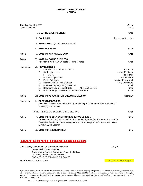| Tuesday, June 20, 2017<br>One O'clock PM |                                                                                                                                                                                                                                                                                                                                                                                                  | Gallup<br><b>DCR</b>                                                                                                                          |
|------------------------------------------|--------------------------------------------------------------------------------------------------------------------------------------------------------------------------------------------------------------------------------------------------------------------------------------------------------------------------------------------------------------------------------------------------|-----------------------------------------------------------------------------------------------------------------------------------------------|
|                                          | <b>I. MEETING CALL TO ORDER</b>                                                                                                                                                                                                                                                                                                                                                                  | Chair                                                                                                                                         |
|                                          | <b>II. ROLL CALL</b>                                                                                                                                                                                                                                                                                                                                                                             | <b>Recording Secretary</b>                                                                                                                    |
|                                          | III. PUBLIC INPUT (15 minutes maximum)                                                                                                                                                                                                                                                                                                                                                           |                                                                                                                                               |
|                                          | <b>IV. INTRODUCTIONS</b>                                                                                                                                                                                                                                                                                                                                                                         | Chair                                                                                                                                         |
| Action                                   | <b>V. VOTE TO APPROVE AGENDA</b>                                                                                                                                                                                                                                                                                                                                                                 | Chair                                                                                                                                         |
| Action                                   | <b>VI. VOTE ON BOARD BUSINESS</b><br>Adoption of April 4, 2017 Board Meeting Minutes                                                                                                                                                                                                                                                                                                             | Chair                                                                                                                                         |
| Information                              | <b>VII. NEW BUSINESS</b><br>Instruction and Academic Affairs<br>А.<br>В.<br><b>Student Services</b><br><b>MCHS</b><br>i.<br><b>Business Operations</b><br>C.<br><b>Public Relations</b><br>D.<br>Е.<br>Interim Chief Executive Officer<br>F.<br>HED Meeting Regarding Lions Hall<br>G. Determine Board Retreat Date<br>7/24, 25, 31 or 8/1<br>Edwin J. Begay Declined Appointment to Board<br>Н. | Ken Roberts<br>Jayme McMahon<br><b>Rob Hunter</b><br><b>Rick Goshorn</b><br>Marilee Petranovich<br>Jerry Dominguez<br>Chair<br>Chair<br>Chair |
| Action                                   | VIII VOTE TO ADJOURN FOR EXECUTIVE SESSION                                                                                                                                                                                                                                                                                                                                                       | Secretary                                                                                                                                     |
| Information                              | IX. EXECUTIVE SESSION<br>Executive Session pursuant to NM Open Meeting Act; Personnel Matter, Section 10-<br>15-1-H.(2) NMSA 1978                                                                                                                                                                                                                                                                |                                                                                                                                               |
|                                          | <b>INVITE THE PUBLIC BACK INTO THE MEETING</b>                                                                                                                                                                                                                                                                                                                                                   | Chair                                                                                                                                         |
| Action                                   | X. VOTE TO RECONVENE FROM EXECUTIVE SESSION<br>Certification that only those matters described in Agenda Item VIII were discussed in<br>Executive Session and if necessary, final action with regard to those matters will be<br>taken in Open Session.                                                                                                                                          | Chair                                                                                                                                         |
| Action                                   | XI. VOTE FOR ADJOURNMENT                                                                                                                                                                                                                                                                                                                                                                         | Chair                                                                                                                                         |
|                                          | ATES TO REMEMBER:                                                                                                                                                                                                                                                                                                                                                                                |                                                                                                                                               |

Great Muddy Endurance - Gallup Motor Cross Park **Great Cross 1988** July 22 Scenic Walk/ Run at 8:00 AM Great Muddy Sprint & Endurance Race at 10:30 AM Lil Muddy Monster Race at 3:00 PM BBQ 4:00 - 6:00 PM -- MUSIC & GAMES Board Retreat - DCR 1:00 PM **July 24, 25, 31 or August 1** 

If you are an individual with a disability who is in need of a reader, amplifier, qualified language interpreter, or any other form of auxiliary aid or service to attend or participate in the meeting, please contact the Executive Director's Office (505-863-7501) as soon as possible. Public documents, including the agenda and minutes, can be provided in various accessible formats. Please contact the Executive Director's Office if a summary or other type of accessible format is needed.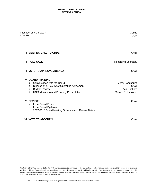### **UNM-GALLUP LOCAL BOARD RETREAT AGENDA**

| Tuesday, July 25, 2017<br>1:00 PM                                                                                                                                                                    | Gallup<br><b>DCR</b>                                                   |
|------------------------------------------------------------------------------------------------------------------------------------------------------------------------------------------------------|------------------------------------------------------------------------|
| <b>I. MEETING CALL TO ORDER</b>                                                                                                                                                                      | Chair                                                                  |
| <b>II. ROLL CALL</b>                                                                                                                                                                                 | <b>Recording Secretary</b>                                             |
| III. VOTE TO APPROVE AGENDA                                                                                                                                                                          | Chair                                                                  |
| <b>IV. BOARD TRAINING</b><br>a. Conversation with the Board<br>Discussion & Review of Operating Agreement<br>b.<br><b>Budget Review</b><br>C.<br><b>UNM Marketing and Branding Presentation</b><br>d | Jerry Dominguez<br>Chair<br><b>Rick Goshorn</b><br>Marilee Petranovich |
| <b>V. REVIEW</b><br>a. Local Board Ethics<br>Local Board By-Laws<br>b.<br>2017-2018 Board Meeting Schedule and Retreat Dates<br>c.                                                                   | Chair                                                                  |

# VI. **VOTE TO ADJOURN** Chair

The University of New Mexico Gallup (UNMG) campus does not discriminate on the basis of race, color, national origin, sex, disability, or age in its programs, activities or hiring. To comply with the Americans with Disabilities Act and the Rehabilitation Act of 1973, UNMG provides information contained in this publication in alternative formats. If special assistance or an alternative format is needed, please contact the UNMG Accessibility Resource Center at 505-863- 7757 or the Executive Director's Office at 505-863-7501.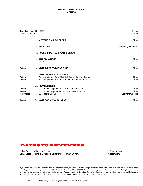| Tuesday, August 29, 2017<br>One O'clock p.m. |                | Gallup<br><b>DCR</b>                                                                                                                      |                                   |
|----------------------------------------------|----------------|-------------------------------------------------------------------------------------------------------------------------------------------|-----------------------------------|
|                                              |                | <b>I. MEETING CALL TO ORDER</b>                                                                                                           | Chair                             |
|                                              |                | <b>II. ROLL CALL</b>                                                                                                                      | <b>Recording Secretary</b>        |
|                                              |                | III. PUBLIC INPUT (15 minutes maximum)                                                                                                    |                                   |
|                                              |                | <b>IV. INTRODUCTIONS</b><br>None                                                                                                          | Chair                             |
| Action                                       |                | <b>V. VOTE TO APPROVE AGENDA</b>                                                                                                          | Chair                             |
| Action<br>Action                             | А.<br>В.       | <b>VI. VOTE ON BOARD BUSINESS</b><br>Adoption of June 20, 2017 Board Meeting Minutes<br>Adoption of July 25, 2017 Board Retreat Minutes   | Chair<br>Chair                    |
| Action<br>Action<br>Information              | А.<br>В.<br>C. | <b>VII. NEW BUSINESS</b><br>Vote to Approve Open Meetings Resolution<br>Vote to Approve Local Board Code of Ethics<br><b>Board Update</b> | Chair<br>Chair<br>Jerry Dominguez |
| Action                                       |                | <b>VIII. VOTE FOR ADJOURNMENT</b>                                                                                                         | Chair                             |

# DATES TO REMEMBER:

Labor Day September 4 UNM Gallup Closed Local Board Meeting in Director's Conference Room at 1:00 PM September 26

If you are an individual with a disability who is in need of a reader, amplifier, qualified language interpreter, or any other form of auxiliary aid or service to attend or participate in the meeting, please contact the Executive Director's Office (505-863-7501) as soon as possible. Public documents, including the agenda and minutes, can be provided in various accessible formats. Please contact the Executive Director's Office if a summary or other type of accessible format is needed. Executive Session pursuant to NM Open Meeting Act; Personnel Matter, Section 10-15-1-H.(2) NMSA 1978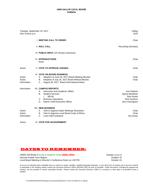| Tuesday, September 19, 2017<br>One O'clock p.m. |                                                                                                                                                                                                         | Gallup<br><b>DCR</b>                                                                        |
|-------------------------------------------------|---------------------------------------------------------------------------------------------------------------------------------------------------------------------------------------------------------|---------------------------------------------------------------------------------------------|
|                                                 | <b>I. MEETING CALL TO ORDER</b>                                                                                                                                                                         | Chair                                                                                       |
|                                                 | <b>II. ROLL CALL</b>                                                                                                                                                                                    | <b>Recording Secretary</b>                                                                  |
|                                                 | III. PUBLIC INPUT (15 minutes maximum)                                                                                                                                                                  |                                                                                             |
|                                                 | <b>IV. INTRODUCTIONS</b><br>None                                                                                                                                                                        | Chair                                                                                       |
| Action                                          | <b>V. VOTE TO APPROVE AGENDA</b>                                                                                                                                                                        | Chair                                                                                       |
| Action<br>Action<br>Information                 | <b>VI. VOTE ON BOARD BUSINESS</b><br>Adoption of June 20, 2017 Board Meeting Minutes<br>А.<br>Adoption of July 25, 2017 Board Retreat Minutes<br>В.<br>C.<br>August 30, 2017 Board Informational Notes  | Chair<br>Chair                                                                              |
| Information                                     | <b>VII. CAMPUS REPORTS</b><br>Instruction and Academic Affairs<br>А.<br><b>Student Services</b><br>В.<br><b>MCHS</b><br>L.<br><b>Business Operations</b><br>C.<br>Interim Chief Executive Officer<br>D. | Ken Roberts<br>Jayme McMahan<br><b>Rob Hunter</b><br><b>Rick Goshorn</b><br>Jerry Dominguez |
| Action<br>Action<br>Information                 | <b>VIII. NEW BUSINESS</b><br>Vote to Approve Open Meetings Resolution<br>А.<br>Vote to Approve Local Board Code of Ethics<br>В.<br>C.<br>Lions Hall Fundraiser                                          | Chair<br>Chair<br>Ara Green                                                                 |
| Action                                          | IX. VOTE FOR ADJOURNMENT                                                                                                                                                                                |                                                                                             |

# DATES TO REMEMBER:

UNMG Fall Break (Faculty & Students Only) **UNMG OPEN**<br>Second 8-week Term Begins **October 16** Second 8-week Term Begins<br>
Local Board Meeting in Director's Conference Room at 1:00 PM<br>
October 24 Local Board Meeting in Director's Conference Room at 1:00 PM

If you are an individual with a disability who is in need of a reader, amplifier, qualified language interpreter, or any other form of auxiliary aid or service to attend or participate in the meeting, please contact the Executive Director's Office (505-863-7501) as soon as possible. Public documents, including the agenda and minutes, can be provided in various accessible formats. Please contact the Executive Director's Office if a summary or other type of accessible format is needed.